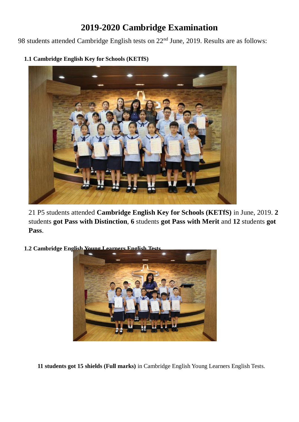## **2019-2020 Cambridge Examination**

98 students attended Cambridge English tests on 22<sup>nd</sup> June, 2019. Results are as follows:



**1.1 Cambridge English Key for Schools (KETfS)**

21 P5 students attended **Cambridge English Key for Schools (KETfS)** in June, 2019. **2** students **got Pass with Distinction**, **6** students **got Pass with Merit** and **12** students **got Pass**.

**1.2 Cambridge English Young Learners English Test** 



**11 students got 15 shields (Full marks)** in Cambridge English Young Learners English Tests.